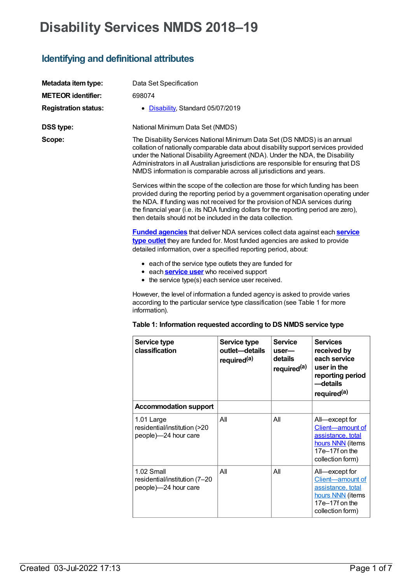# **Disability Services NMDS 2018–19**

### **Identifying and definitional attributes**

| Metadata item type:         | Data Set Specification                                                                                                                                                                                                                                                                                                                                                                                        |
|-----------------------------|---------------------------------------------------------------------------------------------------------------------------------------------------------------------------------------------------------------------------------------------------------------------------------------------------------------------------------------------------------------------------------------------------------------|
| <b>METEOR identifier:</b>   | 698074                                                                                                                                                                                                                                                                                                                                                                                                        |
| <b>Registration status:</b> | • Disability, Standard 05/07/2019                                                                                                                                                                                                                                                                                                                                                                             |
| <b>DSS type:</b>            | National Minimum Data Set (NMDS)                                                                                                                                                                                                                                                                                                                                                                              |
| Scope:                      | The Disability Services National Minimum Data Set (DS NMDS) is an annual<br>collation of nationally comparable data about disability support services provided<br>under the National Disability Agreement (NDA). Under the NDA, the Disability<br>Administrators in all Australian jurisdictions are responsible for ensuring that DS<br>NMDS information is comparable across all jurisdictions and years.   |
|                             | Services within the scope of the collection are those for which funding has been<br>provided during the reporting period by a government organisation operating under<br>the NDA. If funding was not received for the provision of NDA services during<br>the financial year (i.e. its NDA funding dollars for the reporting period are zero),<br>then details should not be included in the data collection. |
|                             | <b>Funded agencies</b> that deliver NDA services collect data against each <b>service</b><br>type outlet they are funded for. Most funded agencies are asked to provide<br>detailed information, over a specified reporting period, about:                                                                                                                                                                    |
|                             | • each of the service type outlets they are funded for<br>• each <b>service user</b> who received support<br>• the service type(s) each service user received.                                                                                                                                                                                                                                                |
|                             | However, the level of information a funded agency is asked to provide varies<br>according to the particular service type classification (see Table 1 for more<br>information).                                                                                                                                                                                                                                |
|                             | Takla di Information nonveated according to DC NIMDC comics to:                                                                                                                                                                                                                                                                                                                                               |

|  | Table 1: Information requested according to DS NMDS service type |  |  |  |
|--|------------------------------------------------------------------|--|--|--|
|--|------------------------------------------------------------------|--|--|--|

| Service type<br>classification                                      | Service type<br>outlet-details<br>required <sup>(a)</sup> | <b>Service</b><br>user-<br>details<br>required <sup>(a)</sup> | <b>Services</b><br>received by<br>each service<br>user in the<br>reporting period<br>—details<br>required <sup>(a)</sup> |
|---------------------------------------------------------------------|-----------------------------------------------------------|---------------------------------------------------------------|--------------------------------------------------------------------------------------------------------------------------|
| <b>Accommodation support</b>                                        |                                                           |                                                               |                                                                                                                          |
| 1.01 Large<br>residential/institution (>20<br>people)-24 hour care  | All                                                       | All                                                           | All—except for<br>Client-amount of<br>assistance, total<br>hours NNN (items<br>17e-17f on the<br>collection form)        |
| 1.02 Small<br>residential/institution (7-20<br>people)-24 hour care | Αll                                                       | All                                                           | All—except for<br>Client-amount of<br>assistance, total<br>hours NNN (items<br>17e-17f on the<br>collection form)        |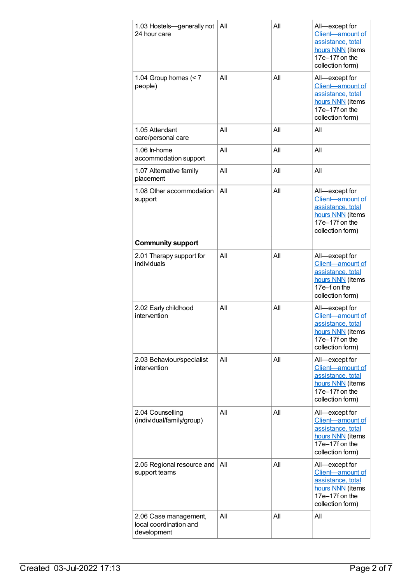| 1.03 Hostels-generally not<br>24 hour care                     | All | All | All-except for<br>Client-amount of<br>assistance, total<br>hours NNN (items<br>17e-17f on the<br>collection form) |
|----------------------------------------------------------------|-----|-----|-------------------------------------------------------------------------------------------------------------------|
| 1.04 Group homes $(< 7$<br>people)                             | All | All | All-except for<br>Client-amount of<br>assistance, total<br>hours NNN (items<br>17e-17f on the<br>collection form) |
| 1.05 Attendant<br>care/personal care                           | All | All | All                                                                                                               |
| 1.06 ln-home<br>accommodation support                          | All | All | All                                                                                                               |
| 1.07 Alternative family<br>placement                           | All | All | All                                                                                                               |
| 1.08 Other accommodation<br>support                            | All | All | All-except for<br>Client-amount of<br>assistance, total<br>hours NNN (items<br>17e-17f on the<br>collection form) |
| <b>Community support</b>                                       |     |     |                                                                                                                   |
| 2.01 Therapy support for<br>individuals                        | All | All | All-except for<br>Client-amount of<br>assistance, total<br>hours NNN (items<br>17e-f on the<br>collection form)   |
| 2.02 Early childhood<br>intervention                           | All | All | All-except for<br>Client-amount of<br>assistance, total<br>hours NNN (items<br>17e-17f on the<br>collection form) |
| 2.03 Behaviour/specialist<br>intervention                      | All | All | All-except for<br>Client-amount of<br>assistance, total<br>hours NNN (items<br>17e-17f on the<br>collection form) |
| 2.04 Counselling<br>(individual/family/group)                  | All | All | All-except for<br>Client-amount of<br>assistance, total<br>hours NNN (items<br>17e-17f on the<br>collection form) |
| 2.05 Regional resource and<br>support teams                    | All | All | All-except for<br>Client-amount of<br>assistance, total<br>hours NNN (items<br>17e-17f on the<br>collection form) |
| 2.06 Case management,<br>local coordination and<br>development | All | All | All                                                                                                               |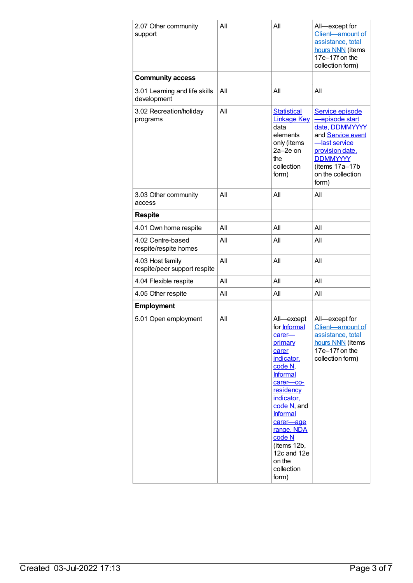| 2.07 Other community<br>support                  | All | All                                                                                                                                                                                                                                                                                | All-except for<br>Client-amount of<br>assistance, total<br>hours NNN (items<br>17e-17f on the<br>collection form)                                                              |
|--------------------------------------------------|-----|------------------------------------------------------------------------------------------------------------------------------------------------------------------------------------------------------------------------------------------------------------------------------------|--------------------------------------------------------------------------------------------------------------------------------------------------------------------------------|
| <b>Community access</b>                          |     |                                                                                                                                                                                                                                                                                    |                                                                                                                                                                                |
| 3.01 Learning and life skills<br>development     | All | All                                                                                                                                                                                                                                                                                | All                                                                                                                                                                            |
| 3.02 Recreation/holiday<br>programs              | All | <b>Statistical</b><br><b>Linkage Key</b><br>data<br>elements<br>only (items<br>2a-2e on<br>the<br>collection<br>form)                                                                                                                                                              | Service episode<br>episode start<br>date, DDMMYYYY<br>and Service event<br>-last service<br>provision date,<br><b>DDMMYYYY</b><br>(items 17a-17b<br>on the collection<br>form) |
| 3.03 Other community<br>access                   | AII | All                                                                                                                                                                                                                                                                                | All                                                                                                                                                                            |
| <b>Respite</b>                                   |     |                                                                                                                                                                                                                                                                                    |                                                                                                                                                                                |
| 4.01 Own home respite                            | All | All                                                                                                                                                                                                                                                                                | All                                                                                                                                                                            |
| 4.02 Centre-based<br>respite/respite homes       | All | All                                                                                                                                                                                                                                                                                | All                                                                                                                                                                            |
| 4.03 Host family<br>respite/peer support respite | All | All                                                                                                                                                                                                                                                                                | All                                                                                                                                                                            |
| 4.04 Flexible respite                            | All | All                                                                                                                                                                                                                                                                                | All                                                                                                                                                                            |
| 4.05 Other respite                               | All | All                                                                                                                                                                                                                                                                                | All                                                                                                                                                                            |
| <b>Employment</b>                                |     |                                                                                                                                                                                                                                                                                    |                                                                                                                                                                                |
| 5.01 Open employment                             | All | All-except<br>for Informal<br>carer-<br>primary<br>carer<br>indicator,<br>code N.<br><b>Informal</b><br>carer-co-<br>residency<br>indicator,<br>code N, and<br><b>Informal</b><br>carer-age<br>range, NDA<br>code N<br>(items 12b,<br>12c and 12e<br>on the<br>collection<br>form) | All-except for<br>Client-amount of<br>assistance, total<br>hours NNN (items<br>17e-17f on the<br>collection form)                                                              |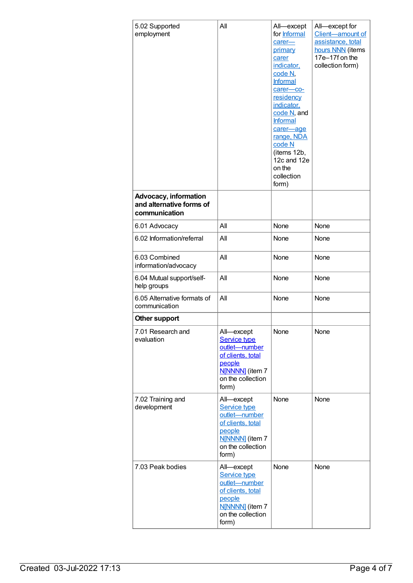| 5.02 Supported<br>employment                                              | All                                                                                                                                | All-except<br>for <b>Informal</b><br>carer-<br>primary<br>carer<br>indicator,<br>code N.<br>Informal<br>carer-co-<br>residency<br>indicator,<br>code N, and<br>Informal<br>carer-age<br>range, NDA<br>code N<br>(items 12b,<br>12c and 12e<br>on the<br>collection<br>form) | All-except for<br>Client-amount of<br>assistance, total<br>hours NNN (items<br>17e-17f on the<br>collection form) |
|---------------------------------------------------------------------------|------------------------------------------------------------------------------------------------------------------------------------|-----------------------------------------------------------------------------------------------------------------------------------------------------------------------------------------------------------------------------------------------------------------------------|-------------------------------------------------------------------------------------------------------------------|
| <b>Advocacy, information</b><br>and alternative forms of<br>communication |                                                                                                                                    |                                                                                                                                                                                                                                                                             |                                                                                                                   |
| 6.01 Advocacy                                                             | All                                                                                                                                | None                                                                                                                                                                                                                                                                        | None                                                                                                              |
| 6.02 Information/referral                                                 | All                                                                                                                                | None                                                                                                                                                                                                                                                                        | None                                                                                                              |
| 6.03 Combined<br>information/advocacy                                     | All                                                                                                                                | None                                                                                                                                                                                                                                                                        | None                                                                                                              |
| 6.04 Mutual support/self-<br>help groups                                  | All                                                                                                                                | None                                                                                                                                                                                                                                                                        | None                                                                                                              |
| 6.05 Alternative formats of<br>communication                              | All                                                                                                                                | None                                                                                                                                                                                                                                                                        | None                                                                                                              |
| Other support                                                             |                                                                                                                                    |                                                                                                                                                                                                                                                                             |                                                                                                                   |
| 7.01 Research and<br>evaluation                                           | All-except<br><b>Service type</b><br>outlet-number<br>of clients, total<br>people<br>N[NNNN] (item 7<br>on the collection<br>form) | None                                                                                                                                                                                                                                                                        | None                                                                                                              |
| 7.02 Training and<br>development                                          | All-except<br><b>Service type</b><br>outlet-number<br>of clients, total<br>people<br>N[NNNN] (item 7<br>on the collection<br>form) | None                                                                                                                                                                                                                                                                        | None                                                                                                              |
| 7.03 Peak bodies                                                          | All-except<br>Service type<br>outlet-number<br>of clients, total<br>people<br>N[NNNN] (item 7<br>on the collection<br>form)        | None                                                                                                                                                                                                                                                                        | None                                                                                                              |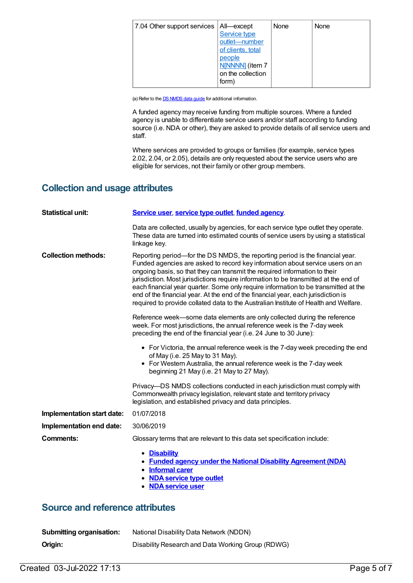| 7.04 Other support services   All—except | Service type<br>outlet-number<br>of clients, total<br>people | None | None |
|------------------------------------------|--------------------------------------------------------------|------|------|
|                                          | N[NNNN] (item 7<br>on the collection<br>form)                |      |      |

(a) Refer to the **DS [NMDS](https://www.aihw.gov.au/about-our-data/our-data-collections/disability-services-national-minimum-data-set/about-dsnmds)** data guide for additional information.

A funded agency may receive funding from multiple sources. Where a funded agency is unable to differentiate service users and/or staff according to funding source (i.e. NDA or other), they are asked to provide details of all service users and staff.

Where services are provided to groups or families (for example, service types 2.02, 2.04, or 2.05), details are only requested about the service users who are eligible for services, not their family or other group members.

#### **Collection and usage attributes**

| <b>Statistical unit:</b>   | Service user, service type outlet, funded agency.                                                                                                                                                                                                                                                                                                                                                                                                                                                                                                                                                        |  |  |  |
|----------------------------|----------------------------------------------------------------------------------------------------------------------------------------------------------------------------------------------------------------------------------------------------------------------------------------------------------------------------------------------------------------------------------------------------------------------------------------------------------------------------------------------------------------------------------------------------------------------------------------------------------|--|--|--|
|                            | Data are collected, usually by agencies, for each service type outlet they operate.<br>These data are turned into estimated counts of service users by using a statistical<br>linkage key.                                                                                                                                                                                                                                                                                                                                                                                                               |  |  |  |
| <b>Collection methods:</b> | Reporting period—for the DS NMDS, the reporting period is the financial year.<br>Funded agencies are asked to record key information about service users on an<br>ongoing basis, so that they can transmit the required information to their<br>jurisdiction. Most jurisdictions require information to be transmitted at the end of<br>each financial year quarter. Some only require information to be transmitted at the<br>end of the financial year. At the end of the financial year, each jurisdiction is<br>required to provide collated data to the Australian Institute of Health and Welfare. |  |  |  |
|                            | Reference week-some data elements are only collected during the reference<br>week. For most jurisdictions, the annual reference week is the 7-day week<br>preceding the end of the financial year (i.e. 24 June to 30 June):                                                                                                                                                                                                                                                                                                                                                                             |  |  |  |
|                            | • For Victoria, the annual reference week is the 7-day week preceding the end<br>of May (i.e. 25 May to 31 May).<br>• For Western Australia, the annual reference week is the 7-day week<br>beginning 21 May (i.e. 21 May to 27 May).                                                                                                                                                                                                                                                                                                                                                                    |  |  |  |
|                            | Privacy—DS NMDS collections conducted in each jurisdiction must comply with<br>Commonwealth privacy legislation, relevant state and territory privacy<br>legislation, and established privacy and data principles.                                                                                                                                                                                                                                                                                                                                                                                       |  |  |  |
| Implementation start date: | 01/07/2018                                                                                                                                                                                                                                                                                                                                                                                                                                                                                                                                                                                               |  |  |  |
| Implementation end date:   | 30/06/2019                                                                                                                                                                                                                                                                                                                                                                                                                                                                                                                                                                                               |  |  |  |
| <b>Comments:</b>           | Glossary terms that are relevant to this data set specification include:                                                                                                                                                                                                                                                                                                                                                                                                                                                                                                                                 |  |  |  |
|                            | • Disability<br>• Funded agency under the National Disability Agreement (NDA)<br>• Informal carer<br>• NDA service type outlet<br>• NDA service user                                                                                                                                                                                                                                                                                                                                                                                                                                                     |  |  |  |

#### **Source and reference attributes**

| <b>Submitting organisation:</b> | National Disability Data Network (NDDN)           |
|---------------------------------|---------------------------------------------------|
| Origin:                         | Disability Research and Data Working Group (RDWG) |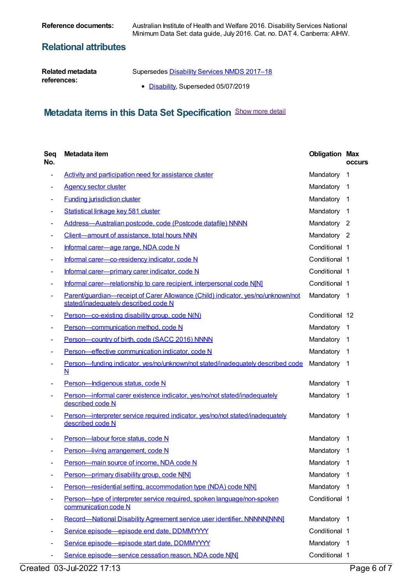**Reference documents:** Australian Institute of Health and Welfare 2016. Disability Services National Minimum Data Set: data guide, July 2016. Cat. no. DAT 4. Canberra: AIHW.

#### **Relational attributes**

| Related metadata | Supersedes Disability Services NMDS 2017-18 |
|------------------|---------------------------------------------|
| references:      | • Disability, Superseded 05/07/2019         |

## **Metadata items in this Data Set Specification** Show more detail

| Seq<br>No.                   | Metadata item                                                                                                            | <b>Obligation Max</b> | <b>OCCUIS</b>  |
|------------------------------|--------------------------------------------------------------------------------------------------------------------------|-----------------------|----------------|
| $\qquad \qquad \blacksquare$ | Activity and participation need for assistance cluster                                                                   | Mandatory             | 1              |
|                              | <b>Agency sector cluster</b>                                                                                             | Mandatory             | -1             |
|                              | <b>Funding jurisdiction cluster</b>                                                                                      | Mandatory             | $\overline{1}$ |
|                              | Statistical linkage key 581 cluster                                                                                      | Mandatory 1           |                |
|                              | Address-Australian postcode, code (Postcode datafile) NNNN                                                               | Mandatory 2           |                |
|                              | Client-amount of assistance, total hours NNN                                                                             | Mandatory 2           |                |
|                              | Informal carer-age range, NDA code N                                                                                     | Conditional 1         |                |
| -                            | Informal carer-co-residency indicator, code N                                                                            | Conditional 1         |                |
|                              | Informal carer-primary carer indicator, code N                                                                           | Conditional 1         |                |
|                              | Informal carer—relationship to care recipient, interpersonal code N[N]                                                   | Conditional 1         |                |
|                              | Parent/quardian-receipt of Carer Allowance (Child) indicator, yes/no/unknown/not<br>stated/inadequately described code N | Mandatory 1           |                |
|                              | Person-co-existing disability group, code N(N)                                                                           | Conditional 12        |                |
|                              | Person-communication method, code N                                                                                      | Mandatory             | $\overline{1}$ |
|                              | Person-country of birth, code (SACC 2016) NNNN                                                                           | Mandatory             | $\overline{1}$ |
|                              | Person-effective communication indicator, code N                                                                         | Mandatory             | $\overline{1}$ |
|                              | Person-funding indicator, yes/no/unknown/not stated/inadequately described code<br>$\underline{\mathsf{N}}$              | Mandatory             | -1             |
| $\overline{\phantom{a}}$     | Person-Indigenous status, code N                                                                                         | Mandatory             | -1             |
|                              | Person-informal carer existence indicator, yes/no/not stated/inadequately<br>described code N                            | Mandatory             | $\overline{1}$ |
|                              | Person-interpreter service required indicator, yes/no/not stated/inadequately<br>described code N                        | Mandatory             | $\overline{1}$ |
|                              | Person-labour force status, code N                                                                                       | Mandatory             | $\overline{1}$ |
|                              | Person-living arrangement, code N                                                                                        | Mandatory             | -1             |
|                              | Person-main source of income, NDA code N                                                                                 | Mandatory             | $\mathbf{1}$   |
|                              | Person-primary disability group, code N[N]                                                                               | Mandatory             | 1              |
|                              | Person-residential setting, accommodation type (NDA) code N[N]                                                           | Mandatory             | -1             |
|                              | Person-type of interpreter service required, spoken language/non-spoken<br>communication code N                          | Conditional 1         |                |
|                              | Record-National Disability Agreement service user identifier, NNNNN[NNN]                                                 | Mandatory             | $\overline{1}$ |
|                              | Service episode-episode end date, DDMMYYYY                                                                               | Conditional 1         |                |
|                              | Service episode-episode start date, DDMMYYYY                                                                             | Mandatory 1           |                |
| -                            | Service episode-service cessation reason, NDA code N[N]                                                                  | Conditional 1         |                |